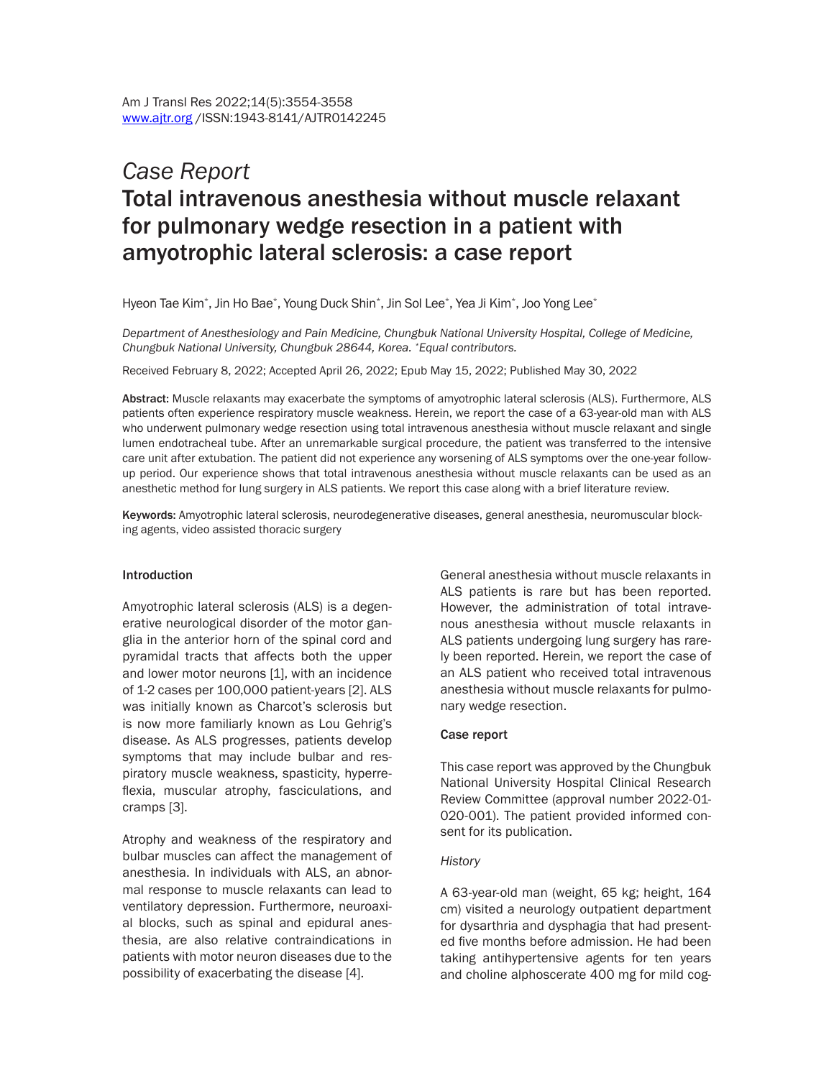# *Case Report* Total intravenous anesthesia without muscle relaxant for pulmonary wedge resection in a patient with amyotrophic lateral sclerosis: a case report

Hyeon Tae Kim $^\ast$ , Jin Ho Bae $^\ast$ , Young Duck Shin $^\ast$ , Jin Sol Lee $^\ast$ , Yea Ji Kim $^\ast$ , Joo Yong Lee $^\ast$ 

*Department of Anesthesiology and Pain Medicine, Chungbuk National University Hospital, College of Medicine, Chungbuk National University, Chungbuk 28644, Korea. \*Equal contributors.*

Received February 8, 2022; Accepted April 26, 2022; Epub May 15, 2022; Published May 30, 2022

Abstract: Muscle relaxants may exacerbate the symptoms of amyotrophic lateral sclerosis (ALS). Furthermore, ALS patients often experience respiratory muscle weakness. Herein, we report the case of a 63-year-old man with ALS who underwent pulmonary wedge resection using total intravenous anesthesia without muscle relaxant and single lumen endotracheal tube. After an unremarkable surgical procedure, the patient was transferred to the intensive care unit after extubation. The patient did not experience any worsening of ALS symptoms over the one-year followup period. Our experience shows that total intravenous anesthesia without muscle relaxants can be used as an anesthetic method for lung surgery in ALS patients. We report this case along with a brief literature review.

Keywords: Amyotrophic lateral sclerosis, neurodegenerative diseases, general anesthesia, neuromuscular blocking agents, video assisted thoracic surgery

#### Introduction

Amyotrophic lateral sclerosis (ALS) is a degenerative neurological disorder of the motor ganglia in the anterior horn of the spinal cord and pyramidal tracts that affects both the upper and lower motor neurons [1], with an incidence of 1-2 cases per 100,000 patient-years [2]. ALS was initially known as Charcot's sclerosis but is now more familiarly known as Lou Gehrig's disease. As ALS progresses, patients develop symptoms that may include bulbar and respiratory muscle weakness, spasticity, hyperreflexia, muscular atrophy, fasciculations, and cramps [3].

Atrophy and weakness of the respiratory and bulbar muscles can affect the management of anesthesia. In individuals with ALS, an abnormal response to muscle relaxants can lead to ventilatory depression. Furthermore, neuroaxial blocks, such as spinal and epidural anesthesia, are also relative contraindications in patients with motor neuron diseases due to the possibility of exacerbating the disease [4].

General anesthesia without muscle relaxants in ALS patients is rare but has been reported. However, the administration of total intravenous anesthesia without muscle relaxants in ALS patients undergoing lung surgery has rarely been reported. Herein, we report the case of an ALS patient who received total intravenous anesthesia without muscle relaxants for pulmonary wedge resection.

#### Case report

This case report was approved by the Chungbuk National University Hospital Clinical Research Review Committee (approval number 2022-01- 020-001). The patient provided informed consent for its publication.

#### *History*

A 63-year-old man (weight, 65 kg; height, 164 cm) visited a neurology outpatient department for dysarthria and dysphagia that had presented five months before admission. He had been taking antihypertensive agents for ten years and choline alphoscerate 400 mg for mild cog-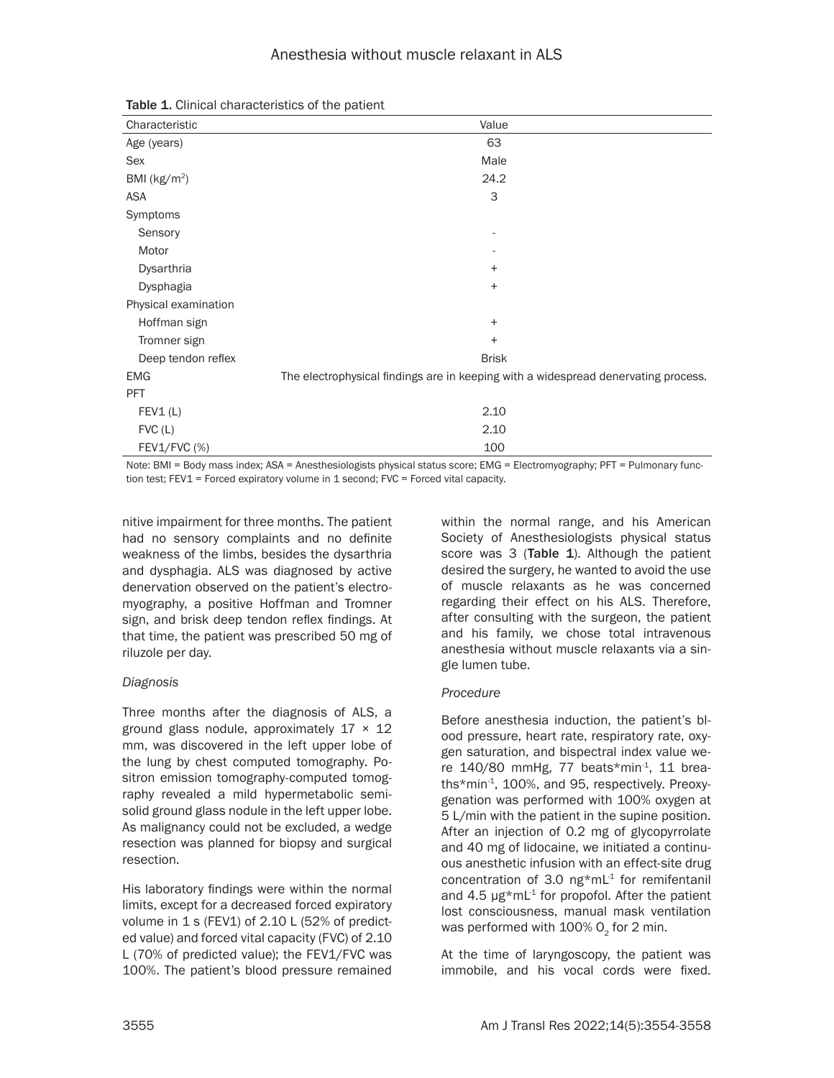| Characteristic       | Value                                                                              |
|----------------------|------------------------------------------------------------------------------------|
| Age (years)          | 63                                                                                 |
| Sex                  | Male                                                                               |
| BMI ( $kg/m2$ )      | 24.2                                                                               |
| ASA                  | 3                                                                                  |
| Symptoms             |                                                                                    |
| Sensory              |                                                                                    |
| Motor                |                                                                                    |
| Dysarthria           | $\ddot{}$                                                                          |
| Dysphagia            | $\ddot{}$                                                                          |
| Physical examination |                                                                                    |
| Hoffman sign         | $\ddot{}$                                                                          |
| Tromner sign         | $\ddot{}$                                                                          |
| Deep tendon reflex   | <b>Brisk</b>                                                                       |
| <b>EMG</b>           | The electrophysical findings are in keeping with a widespread denervating process. |
| <b>PFT</b>           |                                                                                    |
| FEV1(L)              | 2.10                                                                               |
| FVC(L)               | 2.10                                                                               |
| $FEV1/FVC$ (%)       | 100                                                                                |

Table 1. Clinical characteristics of the patient

Note: BMI = Body mass index; ASA = Anesthesiologists physical status score; EMG = Electromyography; PFT = Pulmonary function test; FEV1 = Forced expiratory volume in 1 second; FVC = Forced vital capacity.

nitive impairment for three months. The patient had no sensory complaints and no definite weakness of the limbs, besides the dysarthria and dysphagia. ALS was diagnosed by active denervation observed on the patient's electromyography, a positive Hoffman and Tromner sign, and brisk deep tendon reflex findings. At that time, the patient was prescribed 50 mg of riluzole per day.

# *Diagnosis*

Three months after the diagnosis of ALS, a ground glass nodule, approximately  $17 \times 12$ mm, was discovered in the left upper lobe of the lung by chest computed tomography. Positron emission tomography-computed tomography revealed a mild hypermetabolic semisolid ground glass nodule in the left upper lobe. As malignancy could not be excluded, a wedge resection was planned for biopsy and surgical resection.

His laboratory findings were within the normal limits, except for a decreased forced expiratory volume in 1 s (FEV1) of 2.10 L (52% of predicted value) and forced vital capacity (FVC) of 2.10 L (70% of predicted value); the FEV1/FVC was 100%. The patient's blood pressure remained within the normal range, and his American Society of Anesthesiologists physical status score was 3 (Table 1). Although the patient desired the surgery, he wanted to avoid the use of muscle relaxants as he was concerned regarding their effect on his ALS. Therefore, after consulting with the surgeon, the patient and his family, we chose total intravenous anesthesia without muscle relaxants via a single lumen tube.

# *Procedure*

Before anesthesia induction, the patient's blood pressure, heart rate, respiratory rate, oxygen saturation, and bispectral index value were  $140/80$  mmHg, 77 beats\*min<sup>-1</sup>, 11 breaths\*min-1, 100%, and 95, respectively. Preoxygenation was performed with 100% oxygen at 5 L/min with the patient in the supine position. After an injection of 0.2 mg of glycopyrrolate and 40 mg of lidocaine, we initiated a continuous anesthetic infusion with an effect-site drug concentration of 3.0 ng\*mL $1$  for remifentanil and 4.5  $\mu$ g\*mL<sup>-1</sup> for propofol. After the patient lost consciousness, manual mask ventilation was performed with  $100\%$  O<sub>2</sub> for 2 min.

At the time of laryngoscopy, the patient was immobile, and his vocal cords were fixed.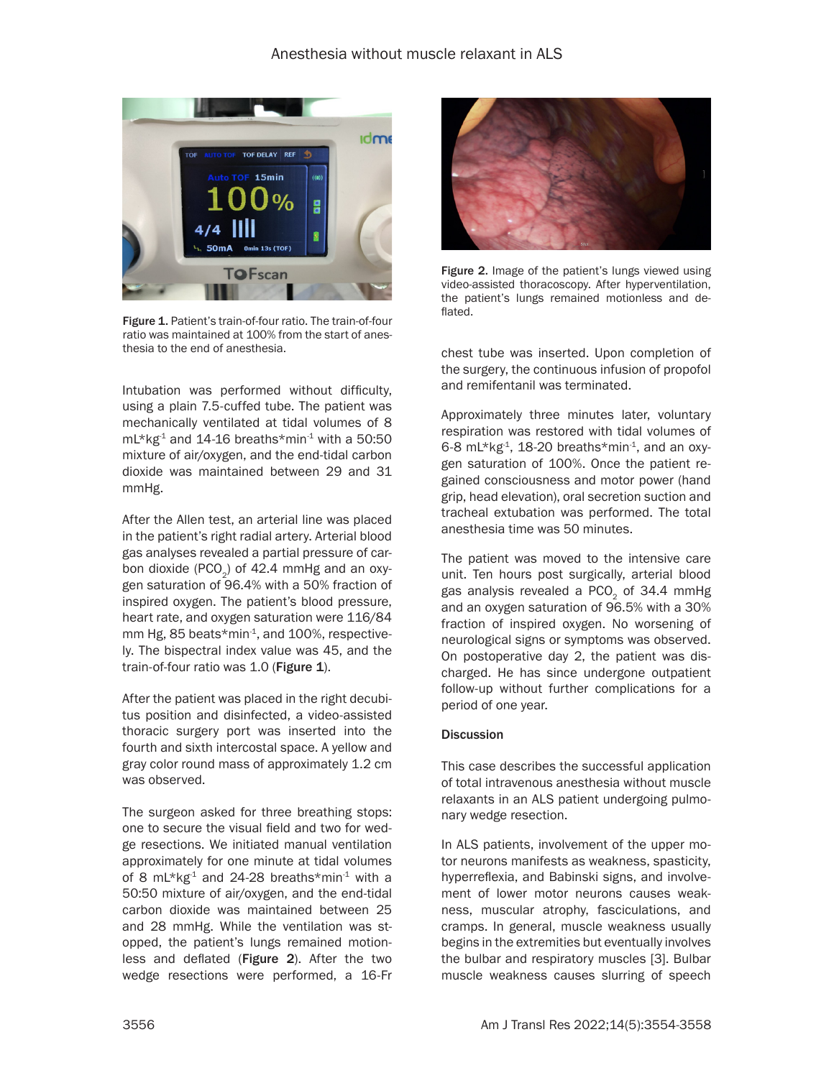

Figure 1. Patient's train-of-four ratio. The train-of-four ratio was maintained at 100% from the start of anesthesia to the end of anesthesia.

Intubation was performed without difficulty, using a plain 7.5-cuffed tube. The patient was mechanically ventilated at tidal volumes of 8  $mL*kg<sup>1</sup>$  and 14-16 breaths\*min<sup>-1</sup> with a 50:50 mixture of air/oxygen, and the end-tidal carbon dioxide was maintained between 29 and 31 mmHg.

After the Allen test, an arterial line was placed in the patient's right radial artery. Arterial blood gas analyses revealed a partial pressure of carbon dioxide (PCO<sub>2</sub>) of 42.4 mmHg and an oxygen saturation of 96.4% with a 50% fraction of inspired oxygen. The patient's blood pressure, heart rate, and oxygen saturation were 116/84 mm Hg, 85 beats\*min<sup>-1</sup>, and 100%, respectively. The bispectral index value was 45, and the train-of-four ratio was 1.0 (Figure 1).

After the patient was placed in the right decubitus position and disinfected, a video-assisted thoracic surgery port was inserted into the fourth and sixth intercostal space. A yellow and gray color round mass of approximately 1.2 cm was observed.

The surgeon asked for three breathing stops: one to secure the visual field and two for wedge resections. We initiated manual ventilation approximately for one minute at tidal volumes of 8 mL\*kg<sup>-1</sup> and 24-28 breaths\*min<sup>-1</sup> with a 50:50 mixture of air/oxygen, and the end-tidal carbon dioxide was maintained between 25 and 28 mmHg. While the ventilation was stopped, the patient's lungs remained motionless and deflated (Figure 2). After the two wedge resections were performed, a 16-Fr



Figure 2. Image of the patient's lungs viewed using video-assisted thoracoscopy. After hyperventilation, the patient's lungs remained motionless and deflated.

chest tube was inserted. Upon completion of the surgery, the continuous infusion of propofol and remifentanil was terminated.

Approximately three minutes later, voluntary respiration was restored with tidal volumes of 6-8 mL\*kg $4$ , 18-20 breaths\*min $4$ , and an oxygen saturation of 100%. Once the patient regained consciousness and motor power (hand grip, head elevation), oral secretion suction and tracheal extubation was performed. The total anesthesia time was 50 minutes.

The patient was moved to the intensive care unit. Ten hours post surgically, arterial blood gas analysis revealed a PCO<sub>2</sub> of 34.4 mmHg and an oxygen saturation of 96.5% with a 30% fraction of inspired oxygen. No worsening of neurological signs or symptoms was observed. On postoperative day 2, the patient was discharged. He has since undergone outpatient follow-up without further complications for a period of one year.

# **Discussion**

This case describes the successful application of total intravenous anesthesia without muscle relaxants in an ALS patient undergoing pulmonary wedge resection.

In ALS patients, involvement of the upper motor neurons manifests as weakness, spasticity, hyperreflexia, and Babinski signs, and involvement of lower motor neurons causes weakness, muscular atrophy, fasciculations, and cramps. In general, muscle weakness usually begins in the extremities but eventually involves the bulbar and respiratory muscles [3]. Bulbar muscle weakness causes slurring of speech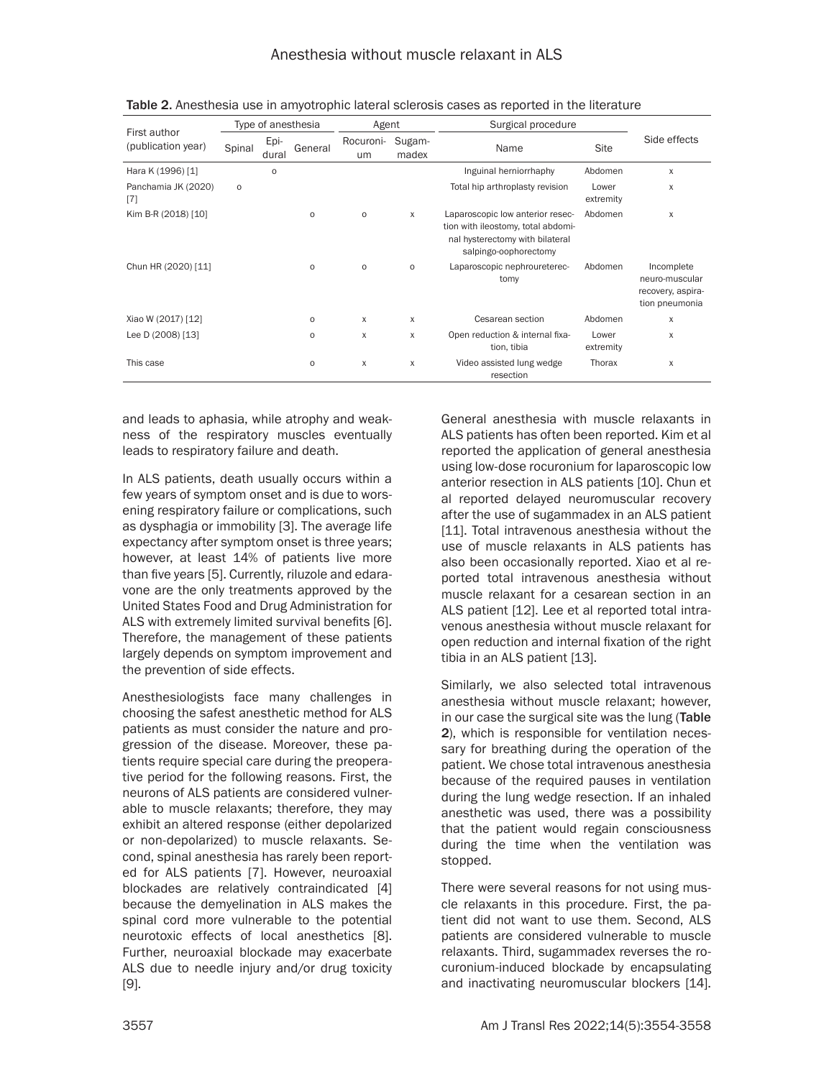| First author<br>(publication year) | Type of anesthesia |               |                     | Agent           |                 | Surgical procedure                                                                                                                 |                    |                                                                     |
|------------------------------------|--------------------|---------------|---------------------|-----------------|-----------------|------------------------------------------------------------------------------------------------------------------------------------|--------------------|---------------------------------------------------------------------|
|                                    | Spinal             | Epi-<br>dural | General             | Rocuroni-<br>um | Sugam-<br>madex | Name                                                                                                                               | Site               | Side effects                                                        |
| Hara K (1996) [1]                  |                    | $\circ$       |                     |                 |                 | Inguinal herniorrhaphy                                                                                                             | Abdomen            | X                                                                   |
| Panchamia JK (2020)<br>[7]         | $\circ$            |               |                     |                 |                 | Total hip arthroplasty revision                                                                                                    | Lower<br>extremity | X                                                                   |
| Kim B-R (2018) [10]                |                    |               | $\mathsf{o}\,$      | $\circ$         | X               | Laparoscopic low anterior resec-<br>tion with ileostomy, total abdomi-<br>nal hysterectomy with bilateral<br>salpingo-oophorectomy | Abdomen            | X                                                                   |
| Chun HR (2020) [11]                |                    |               | $\circ$             | $\circ$         | $\circ$         | Laparoscopic nephroureterec-<br>tomy                                                                                               | Abdomen            | Incomplete<br>neuro-muscular<br>recovery, aspira-<br>tion pneumonia |
| Xiao W (2017) [12]                 |                    |               | $\mathsf{o}\,$      | X               | X               | Cesarean section                                                                                                                   | Abdomen            | X                                                                   |
| Lee D (2008) [13]                  |                    |               | $\mathsf{o}\,$      | X               | X               | Open reduction & internal fixa-<br>tion, tibia                                                                                     | Lower<br>extremity | X                                                                   |
| This case                          |                    |               | $\mathsf{o}\xspace$ | X               | X               | Video assisted lung wedge<br>resection                                                                                             | Thorax             | X                                                                   |

Table 2. Anesthesia use in amyotrophic lateral sclerosis cases as reported in the literature

and leads to aphasia, while atrophy and weakness of the respiratory muscles eventually leads to respiratory failure and death.

In ALS patients, death usually occurs within a few years of symptom onset and is due to worsening respiratory failure or complications, such as dysphagia or immobility [3]. The average life expectancy after symptom onset is three years; however, at least 14% of patients live more than five years [5]. Currently, riluzole and edaravone are the only treatments approved by the United States Food and Drug Administration for ALS with extremely limited survival benefits [6]. Therefore, the management of these patients largely depends on symptom improvement and the prevention of side effects.

Anesthesiologists face many challenges in choosing the safest anesthetic method for ALS patients as must consider the nature and progression of the disease. Moreover, these patients require special care during the preoperative period for the following reasons. First, the neurons of ALS patients are considered vulnerable to muscle relaxants; therefore, they may exhibit an altered response (either depolarized or non-depolarized) to muscle relaxants. Second, spinal anesthesia has rarely been reported for ALS patients [7]. However, neuroaxial blockades are relatively contraindicated [4] because the demyelination in ALS makes the spinal cord more vulnerable to the potential neurotoxic effects of local anesthetics [8]. Further, neuroaxial blockade may exacerbate ALS due to needle injury and/or drug toxicity [9].

General anesthesia with muscle relaxants in ALS patients has often been reported. Kim et al reported the application of general anesthesia using low-dose rocuronium for laparoscopic low anterior resection in ALS patients [10]. Chun et al reported delayed neuromuscular recovery after the use of sugammadex in an ALS patient [11]. Total intravenous anesthesia without the use of muscle relaxants in ALS patients has also been occasionally reported. Xiao et al reported total intravenous anesthesia without muscle relaxant for a cesarean section in an ALS patient [12]. Lee et al reported total intravenous anesthesia without muscle relaxant for open reduction and internal fixation of the right tibia in an ALS patient [13].

Similarly, we also selected total intravenous anesthesia without muscle relaxant; however, in our case the surgical site was the lung (Table 2), which is responsible for ventilation necessary for breathing during the operation of the patient. We chose total intravenous anesthesia because of the required pauses in ventilation during the lung wedge resection. If an inhaled anesthetic was used, there was a possibility that the patient would regain consciousness during the time when the ventilation was stopped.

There were several reasons for not using muscle relaxants in this procedure. First, the patient did not want to use them. Second, ALS patients are considered vulnerable to muscle relaxants. Third, sugammadex reverses the rocuronium-induced blockade by encapsulating and inactivating neuromuscular blockers [14].